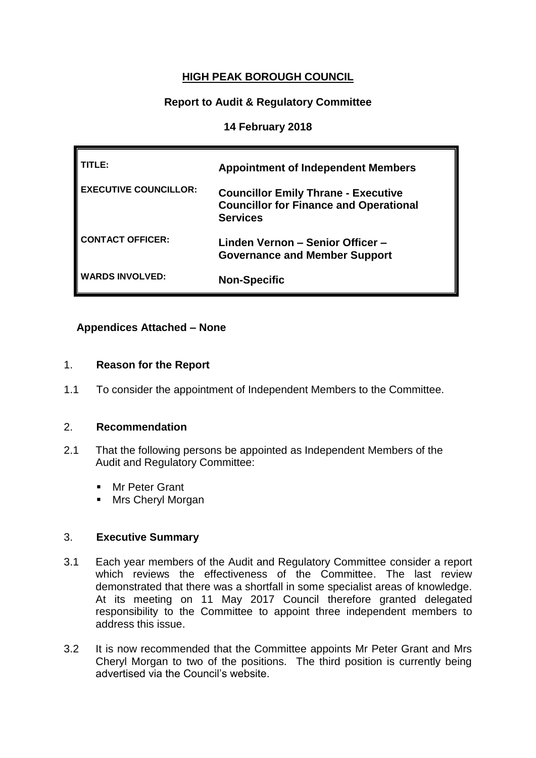# **HIGH PEAK BOROUGH COUNCIL**

# **Report to Audit & Regulatory Committee**

### **14 February 2018**

| TLE:                         | <b>Appointment of Independent Members</b>                                                                      |
|------------------------------|----------------------------------------------------------------------------------------------------------------|
| <b>EXECUTIVE COUNCILLOR:</b> | <b>Councillor Emily Thrane - Executive</b><br><b>Councillor for Finance and Operational</b><br><b>Services</b> |
| <b>CONTACT OFFICER:</b>      | Linden Vernon - Senior Officer -<br><b>Governance and Member Support</b>                                       |
| <b>WARDS INVOLVED:</b>       | <b>Non-Specific</b>                                                                                            |

## **Appendices Attached – None**

### 1. **Reason for the Report**

1.1 To consider the appointment of Independent Members to the Committee.

### 2. **Recommendation**

- 2.1 That the following persons be appointed as Independent Members of the Audit and Regulatory Committee:
	- **Mr Peter Grant**
	- **Mrs Cheryl Morgan**

### 3. **Executive Summary**

- 3.1 Each year members of the Audit and Regulatory Committee consider a report which reviews the effectiveness of the Committee. The last review demonstrated that there was a shortfall in some specialist areas of knowledge. At its meeting on 11 May 2017 Council therefore granted delegated responsibility to the Committee to appoint three independent members to address this issue.
- 3.2 It is now recommended that the Committee appoints Mr Peter Grant and Mrs Cheryl Morgan to two of the positions. The third position is currently being advertised via the Council's website.